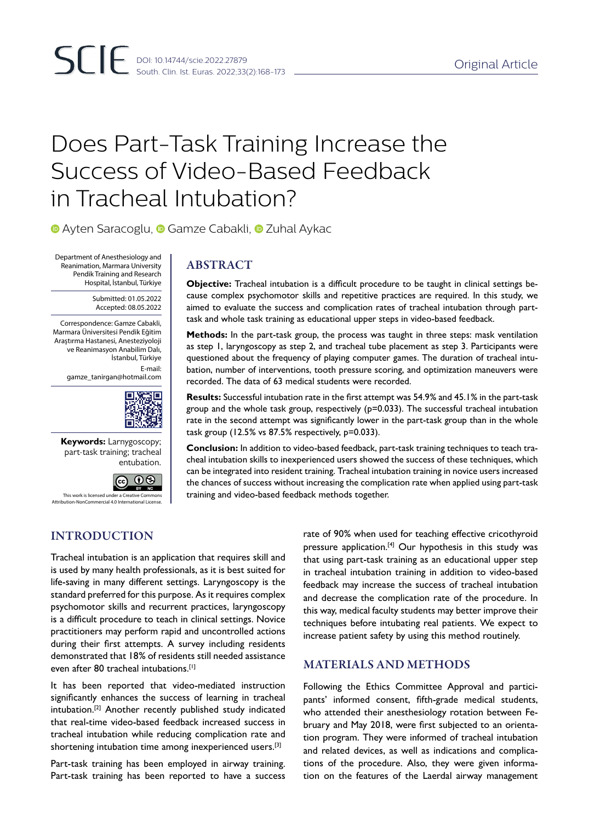# Does Part-Task Training Increase the Success of Video-Based Feedback in Tracheal Intubation?

**•Ayten Saracoglu, • Gamze Cabakli, • Zuhal Aykac** 

Department of Anesthesiology and Reanimation, Marmara University Pendik Training and Research Hospital, İstanbul, Türkiye

> Submitted: 01.05.2022 Accepted: 08.05.2022

Correspondence: Gamze Cabakli, Marmara Üniversitesi Pendik Eğitim Araştırma Hastanesi, Anesteziyoloji ve Reanimasyon Anabilim Dalı, İstanbul, Türkiye E-mail: gamze\_tanirgan@hotmail.com



**Keywords:** Larnygoscopy; part-task training; tracheal entubation.

> $\overline{\circ}$  $RY$  NC

# This work is licensed under a Creative Commons Attribution-NonCommercial 4.0 International License.

# ABSTRACT

**Objective:** Tracheal intubation is a difficult procedure to be taught in clinical settings because complex psychomotor skills and repetitive practices are required. In this study, we aimed to evaluate the success and complication rates of tracheal intubation through parttask and whole task training as educational upper steps in video-based feedback.

**Methods:** In the part-task group, the process was taught in three steps: mask ventilation as step 1, laryngoscopy as step 2, and tracheal tube placement as step 3. Participants were questioned about the frequency of playing computer games. The duration of tracheal intubation, number of interventions, tooth pressure scoring, and optimization maneuvers were recorded. The data of 63 medical students were recorded.

**Results:** Successful intubation rate in the first attempt was 54.9% and 45.1% in the part-task group and the whole task group, respectively (p=0.033). The successful tracheal intubation rate in the second attempt was significantly lower in the part-task group than in the whole task group (12.5% vs 87.5% respectively, p=0.033).

**Conclusion:** In addition to video-based feedback, part-task training techniques to teach tracheal intubation skills to inexperienced users showed the success of these techniques, which can be integrated into resident training. Tracheal intubation training in novice users increased the chances of success without increasing the complication rate when applied using part-task training and video-based feedback methods together.

# INTRODUCTION

Tracheal intubation is an application that requires skill and is used by many health professionals, as it is best suited for life-saving in many different settings. Laryngoscopy is the standard preferred for this purpose. As it requires complex psychomotor skills and recurrent practices, laryngoscopy is a difficult procedure to teach in clinical settings. Novice practitioners may perform rapid and uncontrolled actions during their first attempts. A survey including residents demonstrated that 18% of residents still needed assistance even after 80 tracheal intubations.[1]

It has been reported that video-mediated instruction significantly enhances the success of learning in tracheal intubation.[2] Another recently published study indicated that real-time video-based feedback increased success in tracheal intubation while reducing complication rate and shortening intubation time among inexperienced users.<sup>[3]</sup>

Part-task training has been employed in airway training. Part-task training has been reported to have a success rate of 90% when used for teaching effective cricothyroid pressure application.<sup>[4]</sup> Our hypothesis in this study was that using part-task training as an educational upper step in tracheal intubation training in addition to video-based feedback may increase the success of tracheal intubation and decrease the complication rate of the procedure. In this way, medical faculty students may better improve their techniques before intubating real patients. We expect to increase patient safety by using this method routinely.

# MATERIALS AND METHODS

Following the Ethics Committee Approval and participants' informed consent, fifth-grade medical students, who attended their anesthesiology rotation between February and May 2018, were first subjected to an orientation program. They were informed of tracheal intubation and related devices, as well as indications and complications of the procedure. Also, they were given information on the features of the Laerdal airway management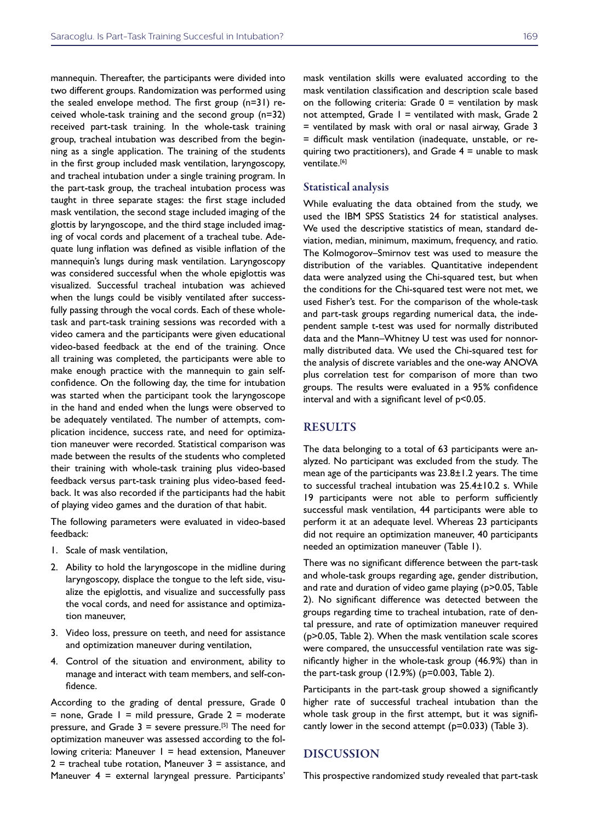mannequin. Thereafter, the participants were divided into two different groups. Randomization was performed using the sealed envelope method. The first group (n=31) received whole-task training and the second group (n=32) received part-task training. In the whole-task training group, tracheal intubation was described from the beginning as a single application. The training of the students in the first group included mask ventilation, laryngoscopy, and tracheal intubation under a single training program. In the part-task group, the tracheal intubation process was taught in three separate stages: the first stage included mask ventilation, the second stage included imaging of the glottis by laryngoscope, and the third stage included imaging of vocal cords and placement of a tracheal tube. Adequate lung inflation was defined as visible inflation of the mannequin's lungs during mask ventilation. Laryngoscopy was considered successful when the whole epiglottis was visualized. Successful tracheal intubation was achieved when the lungs could be visibly ventilated after successfully passing through the vocal cords. Each of these wholetask and part-task training sessions was recorded with a video camera and the participants were given educational video-based feedback at the end of the training. Once all training was completed, the participants were able to make enough practice with the mannequin to gain selfconfidence. On the following day, the time for intubation was started when the participant took the laryngoscope in the hand and ended when the lungs were observed to be adequately ventilated. The number of attempts, complication incidence, success rate, and need for optimization maneuver were recorded. Statistical comparison was made between the results of the students who completed their training with whole-task training plus video-based feedback versus part-task training plus video-based feedback. It was also recorded if the participants had the habit of playing video games and the duration of that habit.

The following parameters were evaluated in video-based feedback:

- 1. Scale of mask ventilation,
- 2. Ability to hold the laryngoscope in the midline during laryngoscopy, displace the tongue to the left side, visualize the epiglottis, and visualize and successfully pass the vocal cords, and need for assistance and optimization maneuver,
- 3. Video loss, pressure on teeth, and need for assistance and optimization maneuver during ventilation,
- 4. Control of the situation and environment, ability to manage and interact with team members, and self-confidence.

According to the grading of dental pressure, Grade 0  $=$  none, Grade  $1 =$  mild pressure, Grade  $2 =$  moderate pressure, and Grade  $3 =$  severe pressure.<sup>[5]</sup> The need for optimization maneuver was assessed according to the following criteria: Maneuver  $1 =$  head extension, Maneuver  $2$  = tracheal tube rotation, Maneuver  $3$  = assistance, and Maneuver 4 = external laryngeal pressure. Participants'

mask ventilation skills were evaluated according to the mask ventilation classification and description scale based on the following criteria: Grade  $0 =$  ventilation by mask not attempted, Grade  $1 =$  ventilated with mask, Grade 2 = ventilated by mask with oral or nasal airway, Grade 3 = difficult mask ventilation (inadequate, unstable, or requiring two practitioners), and Grade  $4 =$  unable to mask ventilate.<sup>[6]</sup>

#### Statistical analysis

While evaluating the data obtained from the study, we used the IBM SPSS Statistics 24 for statistical analyses. We used the descriptive statistics of mean, standard deviation, median, minimum, maximum, frequency, and ratio. The Kolmogorov–Smirnov test was used to measure the distribution of the variables. Quantitative independent data were analyzed using the Chi-squared test, but when the conditions for the Chi-squared test were not met, we used Fisher's test. For the comparison of the whole-task and part-task groups regarding numerical data, the independent sample t-test was used for normally distributed data and the Mann–Whitney U test was used for nonnormally distributed data. We used the Chi-squared test for the analysis of discrete variables and the one-way ANOVA plus correlation test for comparison of more than two groups. The results were evaluated in a 95% confidence interval and with a significant level of p<0.05.

### RESULTS

The data belonging to a total of 63 participants were analyzed. No participant was excluded from the study. The mean age of the participants was 23.8±1.2 years. The time to successful tracheal intubation was 25.4±10.2 s. While 19 participants were not able to perform sufficiently successful mask ventilation, 44 participants were able to perform it at an adequate level. Whereas 23 participants did not require an optimization maneuver, 40 participants needed an optimization maneuver (Table 1).

There was no significant difference between the part-task and whole-task groups regarding age, gender distribution, and rate and duration of video game playing (p>0.05, Table 2). No significant difference was detected between the groups regarding time to tracheal intubation, rate of dental pressure, and rate of optimization maneuver required (p>0.05, Table 2). When the mask ventilation scale scores were compared, the unsuccessful ventilation rate was significantly higher in the whole-task group (46.9%) than in the part-task group (12.9%) (p=0.003, Table 2).

Participants in the part-task group showed a significantly higher rate of successful tracheal intubation than the whole task group in the first attempt, but it was significantly lower in the second attempt (p=0.033) (Table 3).

### DISCUSSION

This prospective randomized study revealed that part-task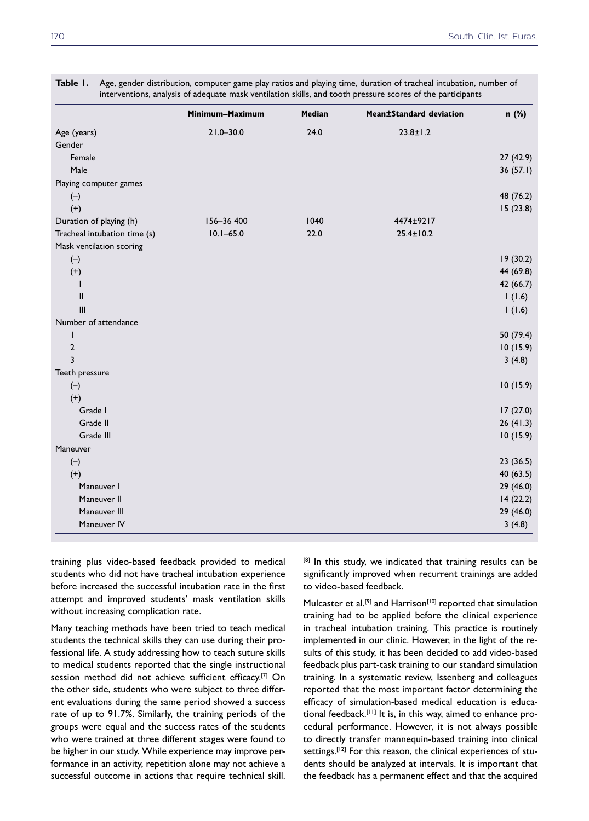|                              | Minimum-Maximum | Median | Mean±Standard deviation | n (%)     |
|------------------------------|-----------------|--------|-------------------------|-----------|
| Age (years)                  | $21.0 - 30.0$   | 24.0   | $23.8 \pm 1.2$          |           |
| Gender                       |                 |        |                         |           |
| Female                       |                 |        |                         | 27(42.9)  |
| Male                         |                 |        |                         | 36(57.1)  |
| Playing computer games       |                 |        |                         |           |
| $(-)$                        |                 |        |                         | 48 (76.2) |
| $(+)$                        |                 |        |                         | 15(23.8)  |
| Duration of playing (h)      | 156-36 400      | 1040   | 4474±9217               |           |
| Tracheal intubation time (s) | $10.1 - 65.0$   | 22.0   | $25.4 \pm 10.2$         |           |
| Mask ventilation scoring     |                 |        |                         |           |
| $(-)$                        |                 |        |                         | 19(30.2)  |
| $(+)$                        |                 |        |                         | 44 (69.8) |
|                              |                 |        |                         | 42 (66.7) |
| $\mathbf{I}$                 |                 |        |                         | 1(1.6)    |
| III                          |                 |        |                         | 1(1.6)    |
| Number of attendance         |                 |        |                         |           |
| 1                            |                 |        |                         | 50 (79.4) |
| $\overline{2}$               |                 |        |                         | 10(15.9)  |
| 3                            |                 |        |                         | 3(4.8)    |
| Teeth pressure               |                 |        |                         |           |
| $(-)$                        |                 |        |                         | 10(15.9)  |
| $(+)$                        |                 |        |                         |           |
| Grade I                      |                 |        |                         | 17(27.0)  |
| Grade II                     |                 |        |                         | 26(41.3)  |
| Grade III                    |                 |        |                         | 10(15.9)  |
| Maneuver                     |                 |        |                         |           |
| $(-)$                        |                 |        |                         | 23(36.5)  |
| $(+)$                        |                 |        |                         | 40 (63.5) |
| Maneuver I                   |                 |        |                         | 29 (46.0) |
| Maneuver II                  |                 |        |                         | 14(22.2)  |
| Maneuver III                 |                 |        |                         | 29 (46.0) |
| Maneuver IV                  |                 |        |                         | 3(4.8)    |

**Table 1.** Age, gender distribution, computer game play ratios and playing time, duration of tracheal intubation, number of interventions, analysis of adequate mask ventilation skills, and tooth pressure scores of the participants

training plus video-based feedback provided to medical students who did not have tracheal intubation experience before increased the successful intubation rate in the first attempt and improved students' mask ventilation skills without increasing complication rate.

Many teaching methods have been tried to teach medical students the technical skills they can use during their professional life. A study addressing how to teach suture skills to medical students reported that the single instructional session method did not achieve sufficient efficacy.[7] On the other side, students who were subject to three different evaluations during the same period showed a success rate of up to 91.7%. Similarly, the training periods of the groups were equal and the success rates of the students who were trained at three different stages were found to be higher in our study. While experience may improve performance in an activity, repetition alone may not achieve a successful outcome in actions that require technical skill.

[8] In this study, we indicated that training results can be significantly improved when recurrent trainings are added to video-based feedback.

Mulcaster et al.<sup>[9]</sup> and Harrison<sup>[10]</sup> reported that simulation training had to be applied before the clinical experience in tracheal intubation training. This practice is routinely implemented in our clinic. However, in the light of the results of this study, it has been decided to add video-based feedback plus part-task training to our standard simulation training. In a systematic review, Issenberg and colleagues reported that the most important factor determining the efficacy of simulation-based medical education is educational feedback.[11] It is, in this way, aimed to enhance procedural performance. However, it is not always possible to directly transfer mannequin-based training into clinical settings.<sup>[12]</sup> For this reason, the clinical experiences of students should be analyzed at intervals. It is important that the feedback has a permanent effect and that the acquired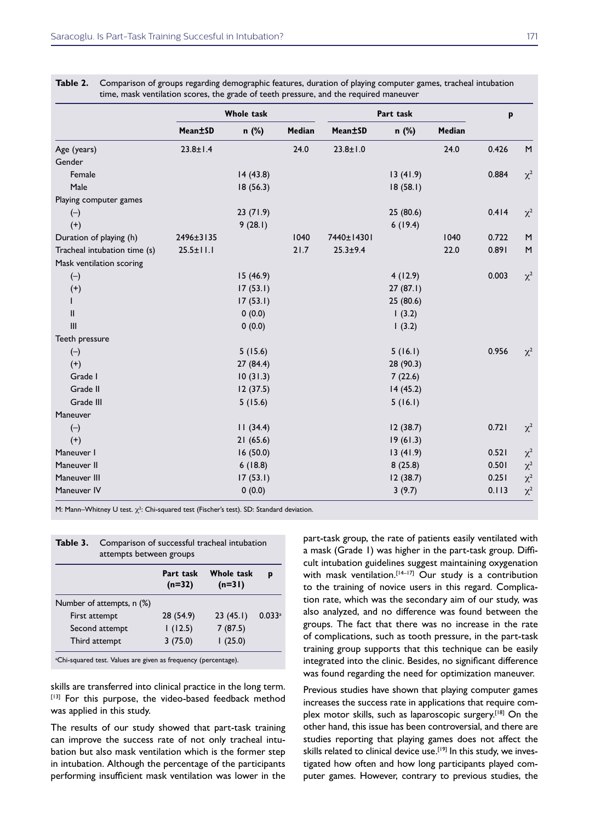|                              | <b>Whole task</b> |          | Part task |                | p         |        |       |          |
|------------------------------|-------------------|----------|-----------|----------------|-----------|--------|-------|----------|
|                              | Mean±SD           | n (%)    | Median    | Mean±SD        | n (%)     | Median |       |          |
| Age (years)                  | $23.8 \pm 1.4$    |          | 24.0      | $23.8 \pm 1.0$ |           | 24.0   | 0.426 | M        |
| Gender                       |                   |          |           |                |           |        |       |          |
| Female                       |                   | 14(43.8) |           |                | 13(41.9)  |        | 0.884 | $\chi^2$ |
| Male                         |                   | 18(56.3) |           |                | 18(58.1)  |        |       |          |
| Playing computer games       |                   |          |           |                |           |        |       |          |
| $(-)$                        |                   | 23(71.9) |           |                | 25 (80.6) |        | 0.414 | $\chi^2$ |
| $(+)$                        |                   | 9(28.1)  |           |                | 6(19.4)   |        |       |          |
| Duration of playing (h)      | 2496±3135         |          | 1040      | 7440±14301     |           | 1040   | 0.722 | M        |
| Tracheal intubation time (s) | $25.5 \pm 11.1$   |          | 21.7      | $25.3 + 9.4$   |           | 22.0   | 0.891 | M        |
| Mask ventilation scoring     |                   |          |           |                |           |        |       |          |
| $(-)$                        |                   | 15(46.9) |           |                | 4(12.9)   |        | 0.003 | $\chi^2$ |
| $(+)$                        |                   | 17(53.1) |           |                | 27(87.1)  |        |       |          |
| L                            |                   | 17(53.1) |           |                | 25 (80.6) |        |       |          |
| Ш                            |                   | 0(0.0)   |           |                | 1(3.2)    |        |       |          |
| III                          |                   | 0(0.0)   |           |                | 1(3.2)    |        |       |          |
| Teeth pressure               |                   |          |           |                |           |        |       |          |
| $(-)$                        |                   | 5(15.6)  |           |                | 5(16.1)   |        | 0.956 | $\chi^2$ |
| $(+)$                        |                   | 27(84.4) |           |                | 28 (90.3) |        |       |          |
| Grade I                      |                   | 10(31.3) |           |                | 7(22.6)   |        |       |          |
| Grade II                     |                   | 12(37.5) |           |                | 14(45.2)  |        |       |          |
| Grade III                    |                   | 5(15.6)  |           |                | 5(16.1)   |        |       |          |
| Maneuver                     |                   |          |           |                |           |        |       |          |
| $(-)$                        |                   | 11(34.4) |           |                | 12(38.7)  |        | 0.721 | $\chi^2$ |
| $(+)$                        |                   | 21(65.6) |           |                | 19(61.3)  |        |       |          |
| Maneuver I                   |                   | 16(50.0) |           |                | 13(41.9)  |        | 0.521 | $\chi^2$ |
| Maneuver II                  |                   | 6(18.8)  |           |                | 8(25.8)   |        | 0.501 | $\chi^2$ |
| Maneuver III                 |                   | 17(53.1) |           |                | 12(38.7)  |        | 0.251 | $\chi^2$ |
| Maneuver IV                  |                   | 0(0.0)   |           |                | 3(9.7)    |        | 0.113 | $\chi^2$ |

**Table 2.** Comparison of groups regarding demographic features, duration of playing computer games, tracheal intubation

M: Mann–Whitney U test.  $\chi^2$ : Chi-squared test (Fischer's test). SD: Standard deviation.

| Table 3.       | Comparison of successful tracheal intubation<br>attempts between groups |                       |                        |        |  |  |
|----------------|-------------------------------------------------------------------------|-----------------------|------------------------|--------|--|--|
|                |                                                                         | Part task<br>$(n=32)$ | Whole task<br>$(n=31)$ | р      |  |  |
|                | Number of attempts, n (%)                                               |                       |                        |        |  |  |
| First attempt  |                                                                         | 28 (54.9)             | 23(45.1)               | 0.033a |  |  |
| Second attempt |                                                                         | 1(12.5)               | 7(87.5)                |        |  |  |
| Third attempt  |                                                                         | 3(75.0)               | (25.0)                 |        |  |  |

<sup>a</sup>Chi-squared test. Values are given as frequency (percentage).

skills are transferred into clinical practice in the long term. [13] For this purpose, the video-based feedback method was applied in this study.

The results of our study showed that part-task training can improve the success rate of not only tracheal intubation but also mask ventilation which is the former step in intubation. Although the percentage of the participants performing insufficient mask ventilation was lower in the

part-task group, the rate of patients easily ventilated with a mask (Grade 1) was higher in the part-task group. Difficult intubation guidelines suggest maintaining oxygenation with mask ventilation.<sup>[14-17]</sup> Our study is a contribution to the training of novice users in this regard. Complication rate, which was the secondary aim of our study, was also analyzed, and no difference was found between the groups. The fact that there was no increase in the rate of complications, such as tooth pressure, in the part-task training group supports that this technique can be easily integrated into the clinic. Besides, no significant difference was found regarding the need for optimization maneuver.

Previous studies have shown that playing computer games increases the success rate in applications that require complex motor skills, such as laparoscopic surgery.<sup>[18]</sup> On the other hand, this issue has been controversial, and there are studies reporting that playing games does not affect the skills related to clinical device use.<sup>[19]</sup> In this study, we investigated how often and how long participants played computer games. However, contrary to previous studies, the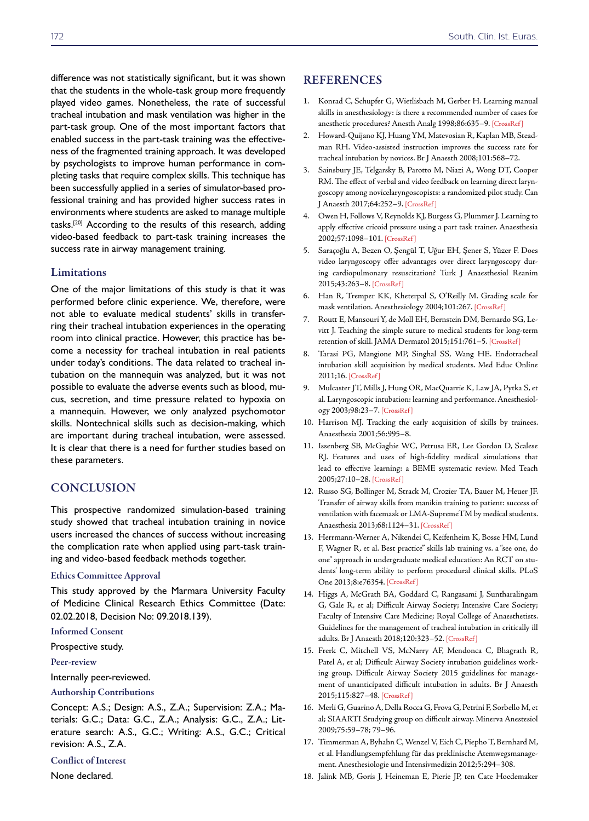difference was not statistically significant, but it was shown that the students in the whole-task group more frequently played video games. Nonetheless, the rate of successful tracheal intubation and mask ventilation was higher in the part-task group. One of the most important factors that enabled success in the part-task training was the effectiveness of the fragmented training approach. It was developed by psychologists to improve human performance in completing tasks that require complex skills. This technique has been successfully applied in a series of simulator-based professional training and has provided higher success rates in environments where students are asked to manage multiple tasks.[20] According to the results of this research, adding video-based feedback to part-task training increases the success rate in airway management training.

#### Limitations

One of the major limitations of this study is that it was performed before clinic experience. We, therefore, were not able to evaluate medical students' skills in transferring their tracheal intubation experiences in the operating room into clinical practice. However, this practice has become a necessity for tracheal intubation in real patients under today's conditions. The data related to tracheal intubation on the mannequin was analyzed, but it was not possible to evaluate the adverse events such as blood, mucus, secretion, and time pressure related to hypoxia on a mannequin. However, we only analyzed psychomotor skills. Nontechnical skills such as decision-making, which are important during tracheal intubation, were assessed. It is clear that there is a need for further studies based on these parameters.

## **CONCLUSION**

This prospective randomized simulation-based training study showed that tracheal intubation training in novice users increased the chances of success without increasing the complication rate when applied using part-task training and video-based feedback methods together.

#### Ethics Committee Approval

This study approved by the Marmara University Faculty of Medicine Clinical Research Ethics Committee (Date: 02.02.2018, Decision No: 09.2018.139).

#### Informed Consent

Prospective study.

#### Peer-review

Internally peer-reviewed.

#### Authorship Contributions

Concept: A.S.; Design: A.S., Z.A.; Supervision: Z.A.; Materials: G.C.; Data: G.C., Z.A.; Analysis: G.C., Z.A.; Literature search: A.S., G.C.; Writing: A.S., G.C.; Critical revision: A.S., Z.A.

#### Conflict of Interest

None declared.

#### **REFERENCES**

- 1. Konrad C, Schupfer G, Wietlisbach M, Gerber H. Learning manual skills in anesthesiology: is there a recommended number of cases for anesthetic procedures? Anesth Analg 1998;86:635–[9. \[CrossRef \]](https://doi.org/10.1213/00000539-199803000-00037)
- 2. Howard-Quijano KJ, Huang YM, Matevosian R, Kaplan MB, Steadman RH. Video-assisted instruction improves the success rate for tracheal intubation by novices. Br J Anaesth 2008;101:568–72.
- 3. Sainsbury JE, Telgarsky B, Parotto M, Niazi A, Wong DT, Cooper RM. The effect of verbal and video feedback on learning direct laryngoscopy among novicelaryngoscopists: a randomized pilot study. Can J Anaesth 2017;64:252–9[. \[CrossRef \]](https://doi.org/10.1007/s12630-016-0792-x)
- 4. Owen H, Follows V, Reynolds KJ, Burgess G, Plummer J. Learning to apply effective cricoid pressure using a part task trainer. Anaesthesia 2002;57:1098–10[1. \[CrossRef \]](https://doi.org/10.1046/j.1365-2044.2002.02836.x)
- 5. Saraçoğlu A, Bezen O, Şengül T, Uğur EH, Şener S, Yüzer F. Does video laryngoscopy offer advantages over direct laryngoscopy during cardiopulmonary resuscitation? Turk J Anaesthesiol Reanim 2015;43:263–8[. \[CrossRef \]](https://doi.org/10.5152/TJAR.2015.52207)
- 6. Han R, Tremper KK, Kheterpal S, O'Reilly M. Grading scale for mask ventilation. Anesthesiology 2004;101:26[7. \[CrossRef \]](https://doi.org/10.1097/00000542-200407000-00059)
- 7. Routt E, Mansouri Y, de Moll EH, Bernstein DM, Bernardo SG, Levitt J. Teaching the simple suture to medical students for long-term retention of skill. JAMA Dermatol 2015;151:761–[5. \[CrossRef \]](https://doi.org/10.1001/jamadermatol.2015.118)
- 8. Tarasi PG, Mangione MP, Singhal SS, Wang HE. Endotracheal intubation skill acquisition by medical students. Med Educ Online 2011;16. [\[CrossRef \]](https://doi.org/10.3402/meo.v16i0.7309)
- 9. Mulcaster JT, Mills J, Hung OR, MacQuarrie K, Law JA, Pytka S, et al. Laryngoscopic intubation: learning and performance. Anesthesiology 2003;98:23–7[. \[CrossRef](https://doi.org/10.1097/00000542-200301000-00007) ]
- 10. Harrison MJ. Tracking the early acquisition of skills by trainees. Anaesthesia 2001;56:995–8.
- 11. Issenberg SB, McGaghie WC, Petrusa ER, Lee Gordon D, Scalese RJ. Features and uses of high-fidelity medical simulations that lead to effective learning: a BEME systematic review. Med Teach 2005;27:10–28[. \[CrossRef \]](https://doi.org/10.1080/01421590500046924)
- 12. Russo SG, Bollinger M, Strack M, Crozier TA, Bauer M, Heuer JF. Transfer of airway skills from manikin training to patient: success of ventilation with facemask or LMA-SupremeTM by medical students. Anaesthesia 2013;68:1124–[31. \[CrossRef \]](https://doi.org/10.1111/anae.12367)
- 13. Herrmann-Werner A, Nikendei C, Keifenheim K, Bosse HM, Lund F, Wagner R, et al. Best practice" skills lab training vs. a "see one, do one" approach in undergraduate medical education: An RCT on students' long-term ability to perform procedural clinical skills. PLoS One 2013;8:e763[54. \[CrossRef \]](https://doi.org/10.1371/journal.pone.0076354)
- 14. Higgs A, McGrath BA, Goddard C, Rangasami J, Suntharalingam G, Gale R, et al; Difficult Airway Society; Intensive Care Society; Faculty of Intensive Care Medicine; Royal College of Anaesthetists. Guidelines for the management of tracheal intubation in critically ill adults. Br J Anaesth 2018;120:323–[52. \[CrossRef \]](https://doi.org/10.1016/j.bja.2017.10.021)
- 15. Frerk C, Mitchell VS, McNarry AF, Mendonca C, Bhagrath R, Patel A, et al; Difficult Airway Society intubation guidelines working group. Difficult Airway Society 2015 guidelines for management of unanticipated difficult intubation in adults. Br J Anaesth 2015;115:827–4[8. \[CrossRef \]](https://doi.org/10.1093/bja/aev371)
- 16. Merli G, Guarino A, Della Rocca G, Frova G, Petrini F, Sorbello M, et al; SIAARTI Studying group on difficult airway. Minerva Anestesiol 2009;75:59–78; 79–96.
- 17. Timmerman A, Byhahn C, Wenzel V, Eich C, Piepho T, Bernhard M, et al. Handlungsempfehlung für das preklinische Atemwegsmanagement. Anesthesiologie und Intensivmedizin 2012;5:294–308.
- 18. Jalink MB, Goris J, Heineman E, Pierie JP, ten Cate Hoedemaker